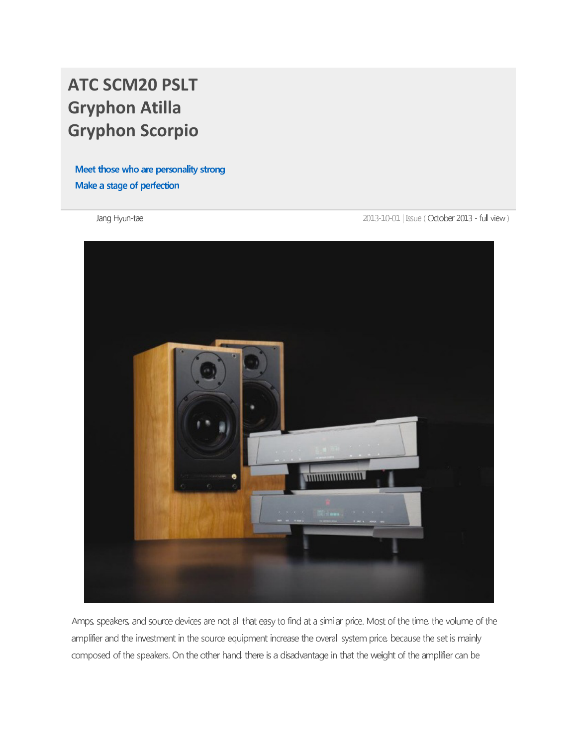## **ATC SCM20 PSLT Gryphon Atilla Gryphon Scorpio**

meet there the the percentaly change make a stage of portcoller.

2013-10-01 | Issue (October 2013 - full view)



Amps, speakers, and source devices are not all that easy to find at a similar price. Most of the time, the volume of the amplifier and the investment in the source equipment increase the overall system price, because the set is mainly composed of the speakers. On the other hand, there is a disadvantage in that the weight of the amplifier can be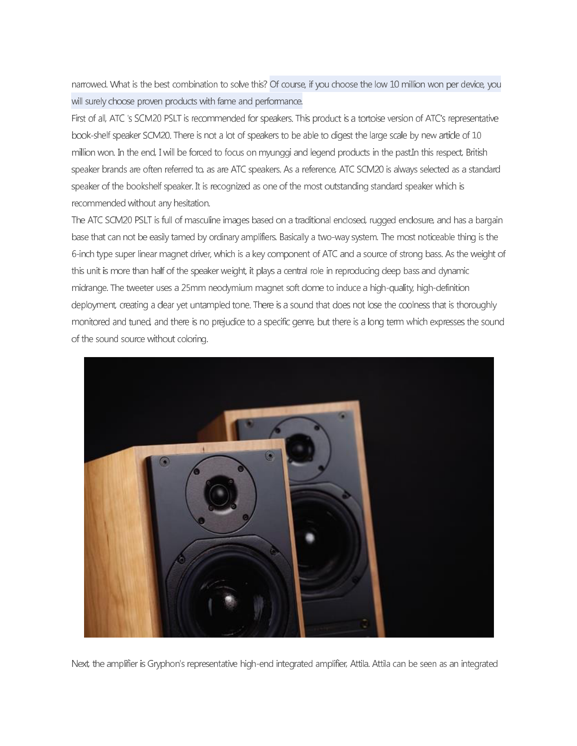narrowed. What is the best combination to solve this? Of course, if you choose the low 10 million won per device, you will surely choose proven products with fame and performance.

First of all, ATC 's SCM20 PSLT is recommended for speakers. This product is a tortoise version of ATC's representative book-shelf speaker SCM20. There is not a lot of speakers to be able to digest the large scale by new article of 10 million won. In the end, I will be forced to focus on myunggi and legend products in the past.In this respect, British speaker brands are often referred to, as are ATC speakers. As a reference, ATC SCM20 is always selected as a standard speaker of the bookshelf speaker. It is recognized as one of the most outstanding standard speaker which is recommended without any hesitation.

The ATC SCM20 PSLT is full of masculine images based on a traditional enclosed, rugged enclosure, and has a bargain base that can not be easily tamed by ordinary amplifiers. Basically a two-way system. The most noticeable thing is the 6-inch type super linear magnet driver, which is a key component of ATC and a source of strong bass. As the weight of this unit is more than half of the speaker weight, it plays a central role in reproducing deep bass and dynamic midrange. The tweeter uses a 25mm neodymium magnet soft dome to induce a high-quality, high-definition deployment, creating a clear yet untampled tone. There is a sound that does not lose the coolness that is thoroughly monitored and tuned, and there is no prejudice to a specific genre, but there is a long term which expresses the sound of the sound source without coloring.



Next, the amplifier is Gryphon's representative high-end integrated amplifier, Attila. Attila can be seen as an integrated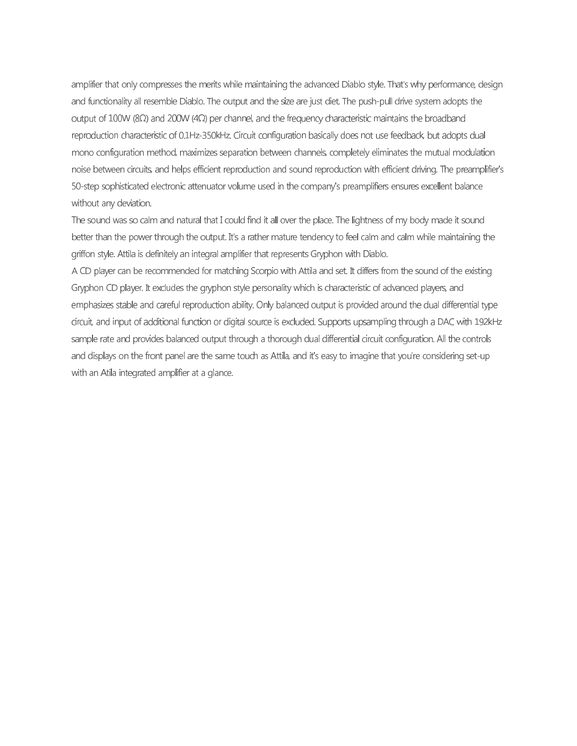amplifier that only compresses the merits while maintaining the advanced Diablo style. That's why performance, design and functionality all resemble Diablo. The output and the size are just diet. The push-pull drive system adopts the output of 100W (8Ω) and 200W (4Ω) per channel, and the frequency characteristic maintains the broadband reproduction characteristic of 0.1Hz-350kHz. Circuit configuration basically does not use feedback, but adopts dual mono configuration method, maximizes separation between channels, completely eliminates the mutual modulation noise between circuits, and helps efficient reproduction and sound reproduction with efficient driving. The preamplifier's 50-step sophisticated electronic attenuator volume used in the company's preamplifiers ensures excellent balance without any deviation.

The sound was so calm and natural that I could find it all over the place. The lightness of my body made it sound better than the power through the output. It's a rather mature tendency to feel calm and calm while maintaining the griffon style. Attila is definitely an integral amplifier that represents Gryphon with Diablo.

A CD player can be recommended for matching Scorpio with Attila and set. It differs from the sound of the existing Gryphon CD player. It excludes the gryphon style personality which is characteristic of advanced players, and emphasizes stable and careful reproduction ability. Only balanced output is provided around the dual differential type circuit, and input of additional function or digital source is excluded. Supports upsampling through a DAC with 192kHz sample rate and provides balanced output through a thorough dual differential circuit configuration. All the controls and displays on the front panel are the same touch as Attila, and it's easy to imagine that you're considering set-up with an Atila integrated amplifier at a glance.